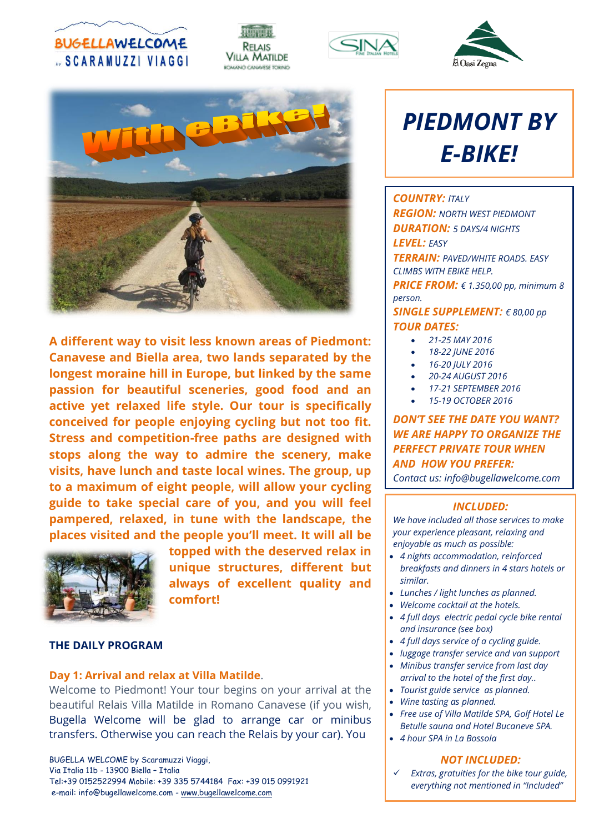









**A different way to visit less known areas of Piedmont: Canavese and Biella area, two lands separated by the longest moraine hill in Europe, but linked by the same passion for beautiful sceneries, good food and an active yet relaxed life style. Our tour is specifically conceived for people enjoying cycling but not too fit. Stress and competition-free paths are designed with stops along the way to admire the scenery, make visits, have lunch and taste local wines. The group, up to a maximum of eight people, will allow your cycling guide to take special care of you, and you will feel pampered, relaxed, in tune with the landscape, the places visited and the people you'll meet. It will all be** 



**topped with the deserved relax in unique structures, different but always of excellent quality and comfort!**

### **THE DAILY PROGRAM**

#### **Day 1: Arrival and relax at Villa Matilde**.

Welcome to Piedmont! Your tour begins on your arrival at the beautiful Relais Villa Matilde in Romano Canavese (if you wish, Bugella Welcome will be glad to arrange car or minibus transfers. Otherwise you can reach the Relais by your car). You

BUGELLA WELCOME by Scaramuzzi Viaggi, Via Italia 11b - 13900 Biella – Italia Tel:+39 0152522994 Mobile: +39 335 5744184 Fax: +39 015 0991921 e-mail: info@bugellawelcome.com - [www.bugellawelcome.com](http://www.bugellawelcome.com/)

# *PIEDMONT BY E-BIKE!*

*COUNTRY: ITALY REGION: NORTH WEST PIEDMONT DURATION: 5 DAYS/4 NIGHTS LEVEL: EASY TERRAIN: PAVED/WHITE ROADS. EASY CLIMBS WITH EBIKE HELP. PRICE FROM: € 1.350,00 pp, minimum 8 person.*

*SINGLE SUPPLEMENT: € 80,00 pp TOUR DATES:* 

- *21-25 MAY 2016*
- *18-22 JUNE 2016*
- *16-20 JULY 2016*
- *20-24 AUGUST 2016*
- *17-21 SEPTEMBER 2016*
- *15-19 OCTOBER 2016*

*DON'T SEE THE DATE YOU WANT? WE ARE HAPPY TO ORGANIZE THE PERFECT PRIVATE TOUR WHEN AND HOW YOU PREFER:* 

*Contact us: info@bugellawelcome.com*

#### *INCLUDED:*

*We have included all those services to make your experience pleasant, relaxing and enjoyable as much as possible:*

- *4 nights accommodation, reinforced breakfasts and dinners in 4 stars hotels or similar.*
- *Lunches / light lunches as planned.*
- *Welcome cocktail at the hotels.*
- *4 full days electric pedal cycle bike rental and insurance (see box)*
- *4 full days service of a cycling guide.*
- *luggage transfer service and van support*
- *Minibus transfer service from last day arrival to the hotel of the first day..*
- *Tourist guide service as planned.*
- *Wine tasting as planned.*
- *Free use of Villa Matilde SPA, Golf Hotel Le Betulle sauna and Hotel Bucaneve SPA.*
- *4 hour SPA in La Bossola*

#### *NOT INCLUDED:*

 *Extras, gratuities for the bike tour guide, everything not mentioned in "Included"*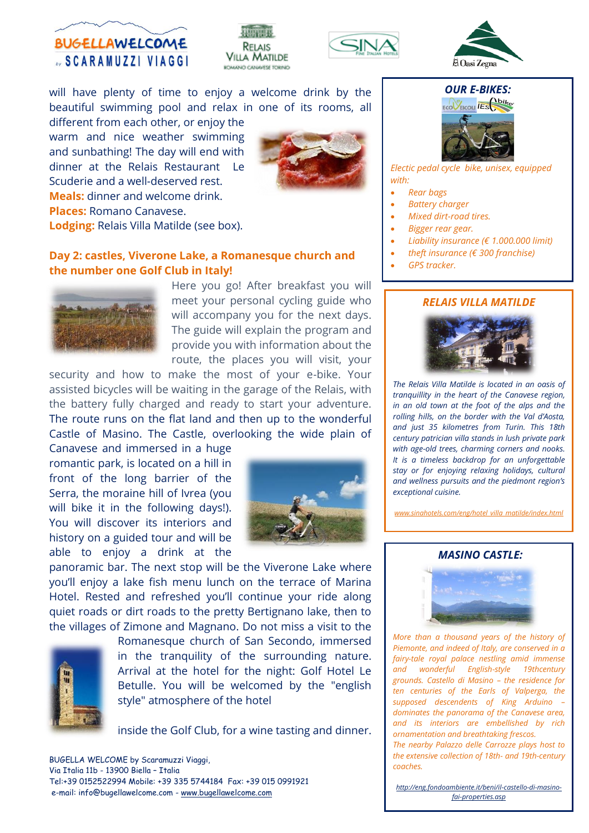







will have plenty of time to enjoy a welcome drink by the beautiful swimming pool and relax in one of its rooms, all

different from each other, or enjoy the warm and nice weather swimming and sunbathing! The day will end with dinner at the Relais Restaurant Le Scuderie and a well-deserved rest. **Meals:** dinner and welcome drink. **Places:** Romano Canavese. **Lodging:** Relais Villa Matilde (see box).



## **Day 2: castles, Viverone Lake, a Romanesque church and the number one Golf Club in Italy!**



Here you go! After breakfast you will meet your personal cycling guide who will accompany you for the next days. The guide will explain the program and provide you with information about the route, the places you will visit, your

security and how to make the most of your e-bike. Your assisted bicycles will be waiting in the garage of the Relais, with the battery fully charged and ready to start your adventure. The route runs on the flat land and then up to the wonderful Castle of Masino. The Castle, overlooking the wide plain of

Canavese and immersed in a huge romantic park, is located on a hill in front of the long barrier of the Serra, the moraine hill of Ivrea (you will bike it in the following days!). You will discover its interiors and history on a guided tour and will be able to enjoy a drink at the



panoramic bar. The next stop will be the Viverone Lake where you'll enjoy a lake fish menu lunch on the terrace of Marina Hotel. Rested and refreshed you'll continue your ride along quiet roads or dirt roads to the pretty Bertignano lake, then to the villages of Zimone and Magnano. Do not miss a visit to the



Romanesque church of San Secondo, immersed in the tranquility of the surrounding nature. Arrival at the hotel for the night: Golf Hotel Le Betulle. You will be welcomed by the "english style" atmosphere of the hotel

inside the Golf Club, for a wine tasting and dinner.

BUGELLA WELCOME by Scaramuzzi Viaggi, Via Italia 11b - 13900 Biella – Italia Tel:+39 0152522994 Mobile: +39 335 5744184 Fax: +39 015 0991921 e-mail: info@bugellawelcome.com - [www.bugellawelcome.com](http://www.bugellawelcome.com/)

### *OUR E-BIKES:*



*Electic pedal cycle bike, unisex, equipped with:*

- *Rear bags*
- *Battery charger*
- *Mixed dirt-road tires.*
- *Bigger rear gear.*
- *Liability insurance (€ 1.000.000 limit)*
- *theft insurance (€ 300 franchise)*
- *GPS tracker.*

#### *RELAIS VILLA MATILDE*



*The Relais Villa Matilde is located in an oasis of tranquillity in the heart of the Canavese region, in an old town at the foot of the alps and the rolling hills, on the border with the Val d'Aosta, and just 35 kilometres from Turin. This 18th century patrician villa stands in lush private park with age-old trees, charming corners and nooks. It is a timeless backdrop for an unforgettable stay or for enjoying relaxing holidays, cultural and wellness pursuits and the piedmont region's exceptional cuisine.*

*[www.sinahotels.com/eng/hotel\\_villa\\_matilde/index.html](http://www.sinahotels.com/eng/hotel_villa_matilde/index.html)*

#### *MASINO CASTLE:*



*More than a thousand years of the history of Piemonte, and indeed of Italy, are conserved in a fairy-tale royal palace nestling amid immense and wonderful English-style 19thcentury grounds. Castello di Masino – the residence for ten centuries of the Earls of Valperga, the supposed descendents of King Arduino – dominates the panorama of the Canavese area, and its interiors are embellished by rich ornamentation and breathtaking frescos. The nearby Palazzo delle Carrozze plays host to the extensive collection of 18th- and 19th-century coaches.*

*[http://eng.fondoambiente.it/beni/il-castello-di-masino](http://eng.fondoambiente.it/beni/il-castello-di-masino-fai-properties.asp)[fai-properties.asp](http://eng.fondoambiente.it/beni/il-castello-di-masino-fai-properties.asp)*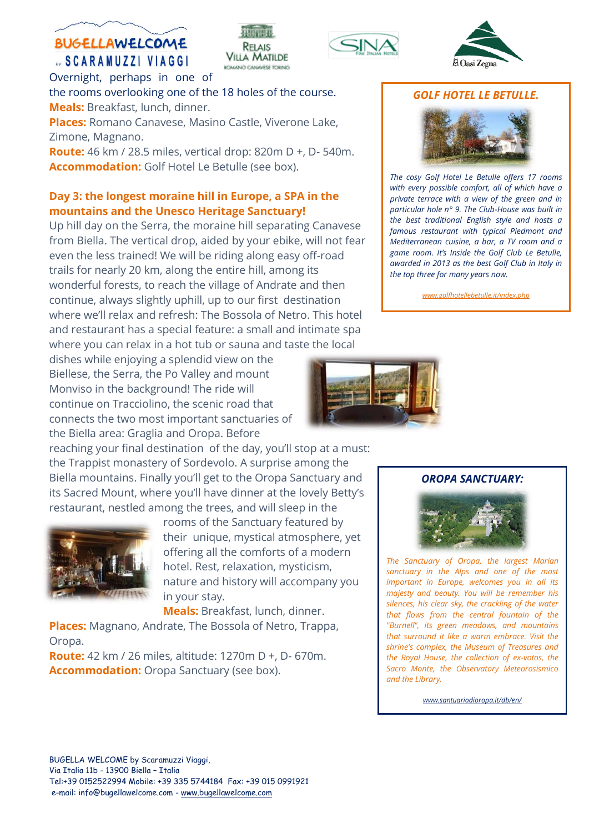# **BUGELLAWELCOME SCARAMUZZI VIAGGI**

RELAIS **VILLA MATILDE** ROMANO CANAVESE TORINO





Overnight, perhaps in one of the rooms overlooking one of the 18 holes of the course. **Meals:** Breakfast, lunch, dinner.

**Places:** Romano Canavese, Masino Castle, Viverone Lake, Zimone, Magnano.

**Route:** 46 km / 28.5 miles, vertical drop: 820m D +, D- 540m. **Accommodation:** Golf Hotel Le Betulle (see box).

## **Day 3: the longest moraine hill in Europe, a SPA in the mountains and the Unesco Heritage Sanctuary!**

Up hill day on the Serra, the moraine hill separating Canavese from Biella. The vertical drop, aided by your ebike, will not fear even the less trained! We will be riding along easy off-road trails for nearly 20 km, along the entire hill, among its wonderful forests, to reach the village of Andrate and then continue, always slightly uphill, up to our first destination where we'll relax and refresh: The Bossola of Netro. This hotel and restaurant has a special feature: a small and intimate spa where you can relax in a hot tub or sauna and taste the local

dishes while enjoying a splendid view on the Biellese, the Serra, the Po Valley and mount Monviso in the background! The ride will continue on Tracciolino, the scenic road that connects the two most important sanctuaries of the Biella area: Graglia and Oropa. Before

reaching your final destination of the day, you'll stop at a must: the Trappist monastery of Sordevolo. A surprise among the Biella mountains. Finally you'll get to the Oropa Sanctuary and its Sacred Mount, where you'll have dinner at the lovely Betty's restaurant, nestled among the trees, and will sleep in the



rooms of the Sanctuary featured by their unique, mystical atmosphere, yet offering all the comforts of a modern hotel. Rest, relaxation, mysticism, nature and history will accompany you in your stay.

**Meals:** Breakfast, lunch, dinner.

**Places:** Magnano, Andrate, The Bossola of Netro, Trappa, Oropa.

**Route:** 42 km / 26 miles, altitude: 1270m D +, D- 670m. **Accommodation:** Oropa Sanctuary (see box).

## *GOLF HOTEL LE BETULLE.*



*The cosy Golf Hotel Le Betulle offers 17 rooms with every possible comfort, all of which have a private terrace with a view of the green and in particular hole n° 9. The Club-House was built in the best traditional English style and hosts a famous restaurant with typical Piedmont and Mediterranean cuisine, a bar, a TV room and a game room. It's Inside the Golf Club Le Betulle, awarded in 2013 as the best Golf Club in Italy in the top three for many years now.*

*[www.golfhotellebetulle.it/index.php](http://www.golfhotellebetulle.it/index.php)*



## *OROPA SANCTUARY:*



*The Sanctuary of Oropa, the largest Marian sanctuary in the Alps and one of the most important in Europe, welcomes you in all its majesty and beauty. You will be remember his silences, his clear sky, the crackling of the water that flows from the central fountain of the "Burnell", its green meadows, and mountains that surround it like a warm embrace. Visit the shrine's complex, the Museum of Treasures and the Royal House, the collection of ex-votos, the Sacro Monte, the Observatory Meteorosismico and the Library.*

*[www.santuariodioropa.it/db/en/](http://www.santuariodioropa.it/db/en/)*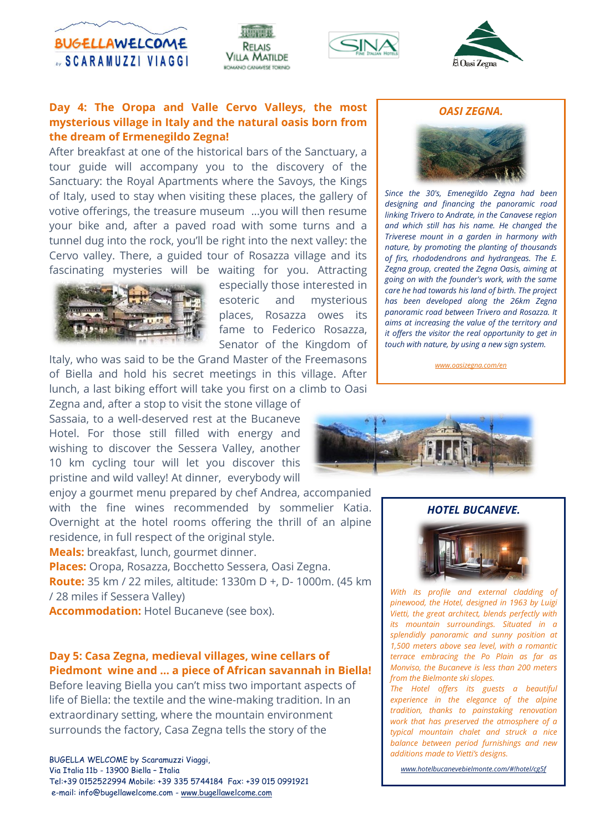

RELAIS **VILLA MATILDE** ROMANO CANAVESE TORNO





## **Day 4: The Oropa and Valle Cervo Valleys, the most mysterious village in Italy and the natural oasis born from the dream of Ermenegildo Zegna!**

After breakfast at one of the historical bars of the Sanctuary, a tour guide will accompany you to the discovery of the Sanctuary: the Royal Apartments where the Savoys, the Kings of Italy, used to stay when visiting these places, the gallery of votive offerings, the treasure museum ...you will then resume your bike and, after a paved road with some turns and a tunnel dug into the rock, you'll be right into the next valley: the Cervo valley. There, a guided tour of Rosazza village and its fascinating mysteries will be waiting for you. Attracting



especially those interested in esoteric and mysterious places, Rosazza owes its fame to Federico Rosazza, Senator of the Kingdom of

Italy, who was said to be the Grand Master of the Freemasons of Biella and hold his secret meetings in this village. After lunch, a last biking effort will take you first on a climb to Oasi

Zegna and, after a stop to visit the stone village of Sassaia, to a well-deserved rest at the Bucaneve Hotel. For those still filled with energy and wishing to discover the Sessera Valley, another 10 km cycling tour will let you discover this pristine and wild valley! At dinner, everybody will

enjoy a gourmet menu prepared by chef Andrea, accompanied with the fine wines recommended by sommelier Katia. Overnight at the hotel rooms offering the thrill of an alpine residence, in full respect of the original style.

**Meals:** breakfast, lunch, gourmet dinner.

**Places:** Oropa, Rosazza, Bocchetto Sessera, Oasi Zegna.

**Route:** 35 km / 22 miles, altitude: 1330m D +, D- 1000m. (45 km / 28 miles if Sessera Valley)

**Accommodation:** Hotel Bucaneve (see box).

## **Day 5: Casa Zegna, medieval villages, wine cellars of Piedmont wine and … a piece of African savannah in Biella!**

Before leaving Biella you can't miss two important aspects of life of Biella: the textile and the wine-making tradition. In an extraordinary setting, where the mountain environment surrounds the factory, Casa Zegna tells the story of the

BUGELLA WELCOME by Scaramuzzi Viaggi, Via Italia 11b - 13900 Biella – Italia Tel:+39 0152522994 Mobile: +39 335 5744184 Fax: +39 015 0991921 e-mail: info@bugellawelcome.com - [www.bugellawelcome.com](http://www.bugellawelcome.com/)





*Since the 30's, Emenegildo Zegna had been designing and financing the panoramic road linking Trivero to Andrate, in the Canavese region and which still has his name. He changed the Triverese mount in a garden in harmony with nature, by promoting the planting of thousands of firs, rhododendrons and hydrangeas. The E. Zegna group, created the Zegna Oasis, aiming at going on with the founder's work, with the same care he had towards his land of birth. The project has been developed along the 26km Zegna panoramic road between Trivero and Rosazza. It aims at increasing the value of the territory and it offers the visitor the real opportunity to get in touch with nature, by using a new sign system.*

*[www.oasizegna.com/en](http://www.oasizegna.com/en)*



#### *HOTEL BUCANEVE.*



*With its profile and external cladding of pinewood, the Hotel, designed in 1963 by Luigi Vietti, the great architect, blends perfectly with its mountain surroundings. Situated in a splendidly panoramic and sunny position at 1,500 meters above sea level, with a romantic terrace embracing the Po Plain as far as Monviso, the Bucaneve is less than 200 meters from the Bielmonte ski slopes.*

*The Hotel offers its guests a beautiful experience in the elegance of the alpine tradition, thanks to painstaking renovation work that has preserved the atmosphere of a typical mountain chalet and struck a nice balance between period furnishings and new additions made to Vietti's designs.*

*[www.hotelbucanevebielmonte.com/#!hotel/cg5f](http://www.hotelbucanevebielmonte.com/#!hotel/cg5f)*